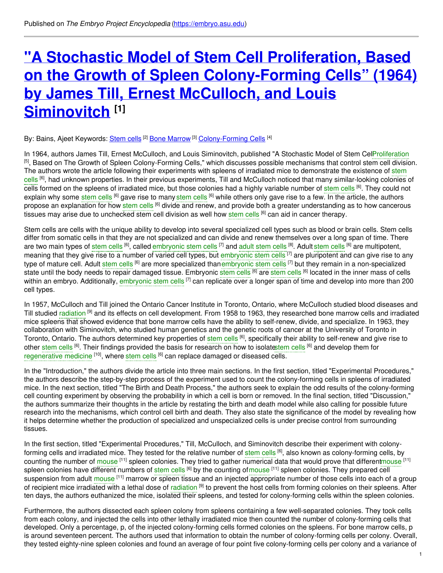# **"A Stochastic Model of Stem Cell Proliferation, Based on the Growth of Spleen [Colony-Forming](https://embryo.asu.edu/pages/stochastic-model-stem-cell-proliferation-based-growth-spleen-colony-forming-cells-1964-james) Cells" (1964) by James Till, Ernest McCulloch, and Louis Siminovitch [1]**

#### By: Bains, Ajeet Keywords: <u>[Stem](https://embryo.asu.edu/keywords/stem-cells) cells</u> <sup>[2]</sup> <u>Bone [Marrow](https://embryo.asu.edu/keywords/bone-marrow)</u> <sup>[3]</sup> <u>[Colony-Forming](https://embryo.asu.edu/keywords/colony-forming-cells) Cells</u> <sup>[4]</sup>

In 1964, authors James Till, Ernest McCulloch, and Louis Siminovitch, published "A Stochastic Model of Stem CelP[roliferation](https://embryo.asu.edu/search?text=Proliferation) [5], Based on The Growth of Spleen Colony-Forming Cells," which discusses possible mechanisms that control stem cell division. The authors wrote the article following their experiments with spleens of irradiated mice to demonstrate the existence of stem cells <sup>[6]</sup>, had unknown properties. In their previous experiments, Till and McCulloch noticed that many [similar-looking](https://embryo.asu.edu/search?text=stem%20cells) colonies of cells formed on the spleens of irradiated mice, but those colonies had a highly variable number of [stem](https://embryo.asu.edu/search?text=stem%20cells) cells <sup>[6]</sup>. They could not explain why some [stem](https://embryo.asu.edu/search?text=stem%20cells) cells <sup>[6]</sup> gave rise to many stem cells <sup>[6]</sup> while others only gave rise to a few. In the article, the authors propose an explanation for how [stem](https://embryo.asu.edu/search?text=stem%20cells) cells <sup>[6]</sup> divide and renew, and provide both a greater understanding as to how cancerous tissues may arise due to unchecked [stem](https://embryo.asu.edu/search?text=stem%20cells) cell division as well how stem cells <sup>[6]</sup> can aid in cancer therapy.

Stem cells are cells with the unique ability to develop into several specialized cell types such as blood or brain cells. Stem cells differ from somatic cells in that they are not specialized and can divide and renew themselves over a long span of time. There are two main types of [stem](https://embryo.asu.edu/search?text=stem%20cells) cells <sup>[6]</sup>, called [embryonic](https://embryo.asu.edu/search?text=embryonic%20stem%20cells) stem cells <sup>[7]</sup> and [adult](https://embryo.asu.edu/search?text=adult%20stem%20cells) stem cells <sup>[8]</sup>. Adult stem cells <sup>[6]</sup> are multipotent, meaning that they give rise to a number of varied cell types, but [embryonic](https://embryo.asu.edu/search?text=embryonic%20stem%20cells) stem cells <sup>[7]</sup> are pluripotent and can give rise to any type of mature cell. Adult [stem](https://embryo.asu.edu/search?text=stem%20cells) cells <sup>[6]</sup> are more specialized than[embryonic](https://embryo.asu.edu/search?text=embryonic%20stem%20cells) stem cells <sup>[7]</sup> but they remain in a non-specialized state until the body needs to repair damaged tissue. Embryonic [stem](https://embryo.asu.edu/search?text=stem%20cells) cells <sup>[6]</sup> are stem cells <sup>[6]</sup> located in the inner mass of cells within an embryo. Additionally, [embryonic](https://embryo.asu.edu/search?text=embryonic%20stem%20cells) stem cells <sup>[7]</sup> can replicate over a longer span of time and develop into more than 200 cell types.

In 1957, McCulloch and Till joined the Ontario Cancer Institute in Toronto, Ontario, where McCulloch studied blood diseases and Till studied [radiation](https://embryo.asu.edu/search?text=radiation) <sup>[9]</sup> and its effects on cell development. From 1958 to 1963, they researched bone marrow cells and irradiated mice spleens that showed evidence that bone marrow cells have the ability to self-renew, divide, and specialize. In 1963, they collaboration with Siminovitch, who studied human genetics and the genetic roots of cancer at the University of Toronto in Toronto, Ontario. The authors determined key properties of [stem](https://embryo.asu.edu/search?text=stem%20cells) cells <sup>[6]</sup>, specifically their ability to self-renew and give rise to other [stem](https://embryo.asu.edu/search?text=stem%20cells) cells <sup>[6]</sup>. Their findings provided the basis for research on how to isolat[estem](https://embryo.asu.edu/search?text=stem%20cells) cells <sup>[6]</sup> and develop them for [regenerative](https://embryo.asu.edu/search?text=regenerative%20medicine) medicine <sup>[10]</sup>, where [stem](https://embryo.asu.edu/search?text=stem%20cells) cells <sup>[6]</sup> can replace damaged or diseased cells.

In the "Introduction," the authors divide the article into three main sections. In the first section, titled "Experimental Procedures," the authors describe the step-by-step process of the experiment used to count the colony-forming cells in spleens of irradiated mice. In the next section, titled "The Birth and Death Process," the authors seek to explain the odd results of the colony-forming cell counting experiment by observing the probability in which a cell is born or removed. In the final section, titled "Discussion," the authors summarize their thoughts in the article by restating the birth and death model while also calling for possible future research into the mechanisms, which control cell birth and death. They also state the significance of the model by revealing how it helps determine whether the production of specialized and unspecialized cells is under precise control from surrounding tissues.

In the first section, titled "Experimental Procedures," Till, McCulloch, and Siminovitch describe their experiment with colonyforming cells and irradiated mice. They tested for the relative number of [stem](https://embryo.asu.edu/search?text=stem%20cells) cells <sup>[6]</sup>, also known as colony-forming cells, by counting the number of [mouse](https://embryo.asu.edu/search?text=mouse) <sup>[11]</sup> spleen colonies. They tried to gather numerical data that would prove that differen[tmouse](https://embryo.asu.edu/search?text=mouse) <sup>[11]</sup> spleen colonies have different numbers of [stem](https://embryo.asu.edu/search?text=stem%20cells) cells <sup>[6]</sup> by the counting of[mouse](https://embryo.asu.edu/search?text=mouse) <sup>[11]</sup> spleen colonies. They prepared cell suspension from adult [mouse](https://embryo.asu.edu/search?text=mouse) <sup>[11]</sup> marrow or spleen tissue and an injected appropriate number of those cells into each of a group of recipient mice irradiated with a lethal dose of [radiation](https://embryo.asu.edu/search?text=radiation) <sup>[9]</sup> to prevent the host cells from forming colonies on their spleens. After ten days, the authors euthanized the mice, isolated their spleens, and tested for colony-forming cells within the spleen colonies.

Furthermore, the authors dissected each spleen colony from spleens containing a few well-separated colonies. They took cells from each colony, and injected the cells into other lethally irradiated mice then counted the number of colony-forming cells that developed. Only a percentage, p, of the injected colony-forming cells formed colonies on the spleens. For bone marrow cells, p is around seventeen percent. The authors used that information to obtain the number of colony-forming cells per colony. Overall, they tested eighty-nine spleen colonies and found an average of four point five colony-forming cells per colony and a variance of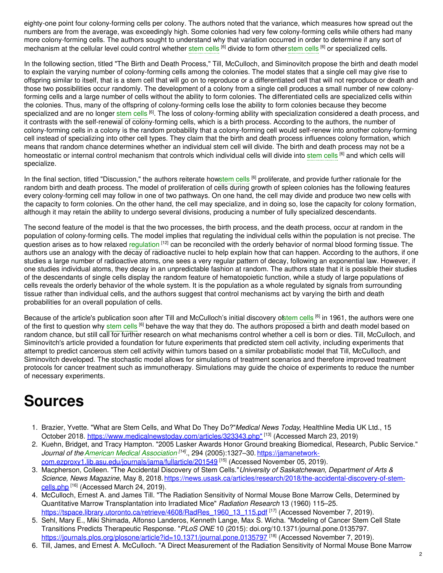eighty-one point four colony-forming cells per colony. The authors noted that the variance, which measures how spread out the numbers are from the average, was exceedingly high. Some colonies had very few colony-forming cells while others had many more colony-forming cells. The authors sought to understand why that variation occurred in order to determine if any sort of mechanism at the cellular level could control whether [stem](https://embryo.asu.edu/search?text=stem%20cells) cells <sup>[6]</sup> divide to form otherstem cells <sup>[6]</sup> or specialized cells.

In the following section, titled "The Birth and Death Process," Till, McCulloch, and Siminovitch propose the birth and death model to explain the varying number of colony-forming cells among the colonies. The model states that a single cell may give rise to offspring similar to itself, that is a stem cell that will go on to reproduce or a differentiated cell that will not reproduce or death and those two possibilities occur randomly. The development of a colony from a single cell produces a small number of new colonyforming cells and a large number of cells without the ability to form colonies. The differentiated cells are specialized cells within the colonies. Thus, many of the offspring of colony-forming cells lose the ability to form colonies because they become specialized and are no longer [stem](https://embryo.asu.edu/search?text=stem%20cells) cells <sup>[6]</sup>. The loss of colony-forming ability with specialization considered a death process, and it contrasts with the self-renewal of colony-forming cells, which is a birth process. According to the authors, the number of colony-forming cells in a colony is the random probability that a colony-forming cell would self-renew into another colony-forming cell instead of specializing into other cell types. They claim that the birth and death process influences colony formation, which means that random chance determines whether an individual stem cell will divide. The birth and death process may not be a homeostatic or internal control mechanism that controls which individual cells will divide into [stem](https://embryo.asu.edu/search?text=stem%20cells) cells <sup>(6)</sup> and which cells will specialize.

In the final section, titled "Discussion," the authors reiterate ho[wstem](https://embryo.asu.edu/search?text=stem%20cells) cells <sup>[6]</sup> proliferate, and provide further rationale for the random birth and death process. The model of proliferation of cells during growth of spleen colonies has the following features every colony-forming cell may follow in one of two pathways. On one hand, the cell may divide and produce two new cells with the capacity to form colonies. On the other hand, the cell may specialize, and in doing so, lose the capacity for colony formation, although it may retain the ability to undergo several divisions, producing a number of fully specialized descendants.

The second feature of the model is that the two processes, the birth process, and the death process, occur at random in the population of colony-forming cells. The model implies that regulating the individual cells within the population is not precise. The question arises as to how relaxed [regulation](https://embryo.asu.edu/search?text=regulation) <sup>[12]</sup> can be reconciled with the orderly behavior of normal blood forming tissue. The authors use an analogy with the decay of radioactive nuclei to help explain how that can happen. According to the authors, if one studies a large number of radioactive atoms, one sees a very regular pattern of decay, following an exponential law. However, if one studies individual atoms, they decay in an unpredictable fashion at random. The authors state that it is possible their studies of the descendants of single cells display the random feature of hematopoietic function, while a study of large populations of cells reveals the orderly behavior of the whole system. It is the population as a whole regulated by signals from surrounding tissue rather than individual cells, and the authors suggest that control mechanisms act by varying the birth and death probabilities for an overall population of cells.

Because of the article's publication soon after Till and McCulloch's initial discovery o[fstem](https://embryo.asu.edu/search?text=stem%20cells) cells <sup>[6]</sup> in 1961, the authors were one of the first to question why [stem](https://embryo.asu.edu/search?text=stem%20cells) cells <sup>[6]</sup> behave the way that they do. The authors proposed a birth and death model based on random chance, but still call for further research on what mechanisms control whether a cell is born or dies. Till, McCulloch, and Siminovitch's article provided a foundation for future experiments that predicted stem cell activity, including experiments that attempt to predict cancerous stem cell activity within tumors based on a similar probabilistic model that Till, McCulloch, and Siminovitch developed. The stochastic model allows for simulations of treatment scenarios and therefore improved treatment protocols for cancer treatment such as immunotherapy. Simulations may guide the choice of experiments to reduce the number of necessary experiments.

# **Sources**

- 1. Brazier, Yvette. "What are Stem Cells, and What Do They Do?"*Medical News Today*, Healthline Media UK Ltd., 15 October 2018. [https://www.medicalnewstoday.com/articles/323343.php"](https://www.medicalnewstoday.com/articles/323343.php) <sup>[13]</sup> (Accessed March 23, 2019)
- 2. Kuehn, Bridget, and Tracy Hampton. "2005 Lasker Awards Honor Ground breaking Biomedical, Research, Public Service." *Journal of theAmerican Medical [Association](https://embryo.asu.edu/search?text=American%20Medical%20Association) [14] .*, 294 (2005):1327–30. https://jamanetwork[com.ezproxy1.lib.asu.edu/journals/jama/fullarticle/201549](https://jamanetwork-com.ezproxy1.lib.asu.edu/journals/jama/fullarticle/201549) [15] (Accessed November 05, 2019).
- 3. Macpherson, Colleen. "The Accidental Discovery of Stem Cells."*University of Saskatchewan, Department of Arts & Science, News Magazine,* May 8, [2018.https://news.usask.ca/articles/research/2018/the-accidental-discovery-of-stem](https://news.usask.ca/articles/research/2018/the-accidental-discovery-of-stem-cells.php)cells.php <sup>[16]</sup> (Accessed March 24, 2019).
- 4. McCulloch, Ernest A. and James Till. "The Radiation Sensitivity of Normal Mouse Bone Marrow Cells, Determined by Quantitative Marrow Transplantation into Irradiated Mice" *Radiation Research* 13 (1960) 115–25.
- [https://tspace.library.utoronto.ca/retrieve/4608/RadRes\\_1960\\_13\\_115.pdf](https://tspace.library.utoronto.ca/retrieve/4608/RadRes_1960_13_115.pdf) <sup>[17]</sup> (Accessed November 7, 2019). 5. Sehl, Mary E., Miki Shimada, Alfonso Landeros, Kenneth Lange, Max S. Wicha. "Modeling of Cancer Stem Cell State Transitions Predicts Therapeutic Response. "*PLoS ONE* 10 (2015): doi.org/10.1371/journal.pone.0135797. <https://journals.plos.org/plosone/article?id=10.1371/journal.pone.0135797> [18] (Accessed November 7, 2019).
- 6. Till, James, and Ernest A. McCulloch. "A Direct Measurement of the Radiation Sensitivity of Normal Mouse Bone Marrow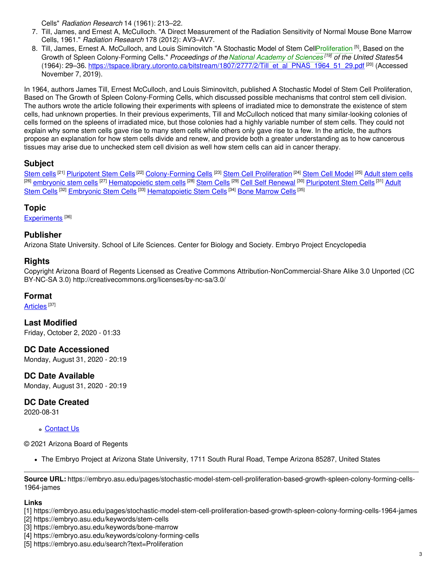Cells" *Radiation Research* 14 (1961): 213–22.

- 7. Till, James, and Ernest A, McCulloch. "A Direct Measurement of the Radiation Sensitivity of Normal Mouse Bone Marrow Cells, 1961." *Radiation Research* 178 (2012): AV3–AV7.
- 8. Till, James, Ernest A. McCulloch, and Louis Siminovitch "A Stochastic Model of Stem Cel[lProliferation](https://embryo.asu.edu/search?text=Proliferation) <sup>[5]</sup>, Based on the Growth of Spleen Colony-Forming Cells." *Proceedings of the National [Academy](https://embryo.asu.edu/search?text=National%20Academy%20of%20Sciences) of Sciences [19] of the United States*54 (1964): 29–36. [https://tspace.library.utoronto.ca/bitstream/1807/2777/2/Till\\_et\\_al\\_PNAS\\_1964\\_51\\_29.pdf](https://tspace.library.utoronto.ca/bitstream/1807/2777/2/Till_et_al_PNAS_1964_51_29.pdf)<sup>[20]</sup> (Accessed November 7, 2019).

In 1964, authors James Till, Ernest McCulloch, and Louis Siminovitch, published A Stochastic Model of Stem Cell Proliferation, Based on The Growth of Spleen Colony-Forming Cells, which discussed possible mechanisms that control stem cell division. The authors wrote the article following their experiments with spleens of irradiated mice to demonstrate the existence of stem cells, had unknown properties. In their previous experiments, Till and McCulloch noticed that many similar-looking colonies of cells formed on the spleens of irradiated mice, but those colonies had a highly variable number of stem cells. They could not explain why some stem cells gave rise to many stem cells while others only gave rise to a few. In the article, the authors propose an explanation for how stem cells divide and renew, and provide both a greater understanding as to how cancerous tissues may arise due to unchecked stem cell division as well how stem cells can aid in cancer therapy.

### **Subject**

[Stem](https://embryo.asu.edu/library-congress-subject-headings/stem-cells-0) cells <sup>[21]</sup> <u>[Pluripotent](https://embryo.asu.edu/library-congress-subject-headings/pluripotent-stem-cells) Stem Cells</u> <sup>[22]</sup> [Colony-Forming](https://embryo.asu.edu/library-congress-subject-headings/colony-forming-cells) Cells <sup>[23]</sup> Stem Cell [Proliferation](https://embryo.asu.edu/library-congress-subject-headings/stem-cell-proliferation) <sup>[24]</sup> Stem Cell [Model](https://embryo.asu.edu/library-congress-subject-headings/stem-cell-model) <sup>[25]</sup> [Adult](https://embryo.asu.edu/library-congress-subject-headings/adult-stem-cells) stem cells <sup>[26]</sup> [embryonic](https://embryo.asu.edu/library-congress-subject-headings/embryonic-stem-cells) stem cells <sup>[27]</sup> [Hematopoietic](https://embryo.asu.edu/medical-subject-headings/adult-stem-cells) stem cells <sup>[28]</sup> [Stem](https://embryo.asu.edu/medical-subject-headings/stem-cells) Cells <sup>[29]</sup> Cell Self [Renewal](https://embryo.asu.edu/medical-subject-headings/cell-self-renewal) <sup>[30]</sup> [Pluripotent](https://embryo.asu.edu/medical-subject-headings/pluripotent-stem-cells) Stem Cells <sup>[31]</sup> Adult Stem Cells <sup>[32]</sup> [Embryonic](https://embryo.asu.edu/medical-subject-headings/embryonic-stem-cells) Stem Cells <sup>[33]</sup> [Hematopoietic](https://embryo.asu.edu/medical-subject-headings/hematopoietic-stem-cells) Stem Cells <sup>[34]</sup> Bone [Marrow](https://embryo.asu.edu/medical-subject-headings/bone-marrow-cells) Cells <sup>[35]</sup>

### **Topic**

[Experiments](https://embryo.asu.edu/topics/experiments)<sup>[36]</sup>

### **Publisher**

Arizona State University. School of Life Sciences. Center for Biology and Society. Embryo Project Encyclopedia

#### **Rights**

Copyright Arizona Board of Regents Licensed as Creative Commons Attribution-NonCommercial-Share Alike 3.0 Unported (CC BY-NC-SA 3.0) http://creativecommons.org/licenses/by-nc-sa/3.0/

#### **Format**

<u>[Articles](https://embryo.asu.edu/formats/articles)</u> [37]

**Last Modified** Friday, October 2, 2020 - 01:33

**DC Date Accessioned** Monday, August 31, 2020 - 20:19

**DC Date Available** Monday, August 31, 2020 - 20:19

## **DC Date Created**

2020-08-31

#### **c** [Contact](https://embryo.asu.edu/contact) Us

© 2021 Arizona Board of Regents

The Embryo Project at Arizona State University, 1711 South Rural Road, Tempe Arizona 85287, United States

**Source URL:** https://embryo.asu.edu/pages/stochastic-model-stem-cell-proliferation-based-growth-spleen-colony-forming-cells-1964-james

#### **Links**

- [2] https://embryo.asu.edu/keywords/stem-cells
- [3] https://embryo.asu.edu/keywords/bone-marrow
- [4] https://embryo.asu.edu/keywords/colony-forming-cells
- [5] https://embryo.asu.edu/search?text=Proliferation

<sup>[1]</sup> https://embryo.asu.edu/pages/stochastic-model-stem-cell-proliferation-based-growth-spleen-colony-forming-cells-1964-james